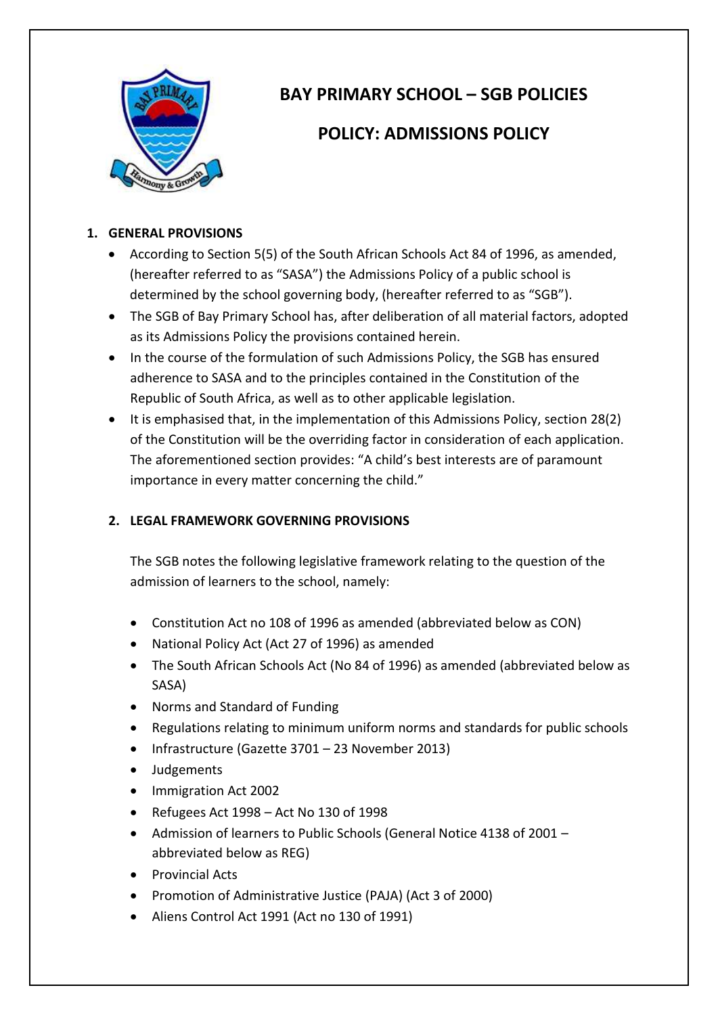

# **BAY PRIMARY SCHOOL – SGB POLICIES**

## **POLICY: ADMISSIONS POLICY**

#### **1. GENERAL PROVISIONS**

- According to Section 5(5) of the South African Schools Act 84 of 1996, as amended, (hereafter referred to as "SASA") the Admissions Policy of a public school is determined by the school governing body, (hereafter referred to as "SGB").
- The SGB of Bay Primary School has, after deliberation of all material factors, adopted as its Admissions Policy the provisions contained herein.
- In the course of the formulation of such Admissions Policy, the SGB has ensured adherence to SASA and to the principles contained in the Constitution of the Republic of South Africa, as well as to other applicable legislation.
- It is emphasised that, in the implementation of this Admissions Policy, section 28(2) of the Constitution will be the overriding factor in consideration of each application. The aforementioned section provides: "A child's best interests are of paramount importance in every matter concerning the child."

### **2. LEGAL FRAMEWORK GOVERNING PROVISIONS**

The SGB notes the following legislative framework relating to the question of the admission of learners to the school, namely:

- Constitution Act no 108 of 1996 as amended (abbreviated below as CON)
- National Policy Act (Act 27 of 1996) as amended
- The South African Schools Act (No 84 of 1996) as amended (abbreviated below as SASA)
- Norms and Standard of Funding
- Regulations relating to minimum uniform norms and standards for public schools
- Infrastructure (Gazette 3701 23 November 2013)
- Judgements
- Immigration Act 2002
- Refugees Act 1998 Act No 130 of 1998
- Admission of learners to Public Schools (General Notice 4138 of 2001 abbreviated below as REG)
- Provincial Acts
- Promotion of Administrative Justice (PAJA) (Act 3 of 2000)
- Aliens Control Act 1991 (Act no 130 of 1991)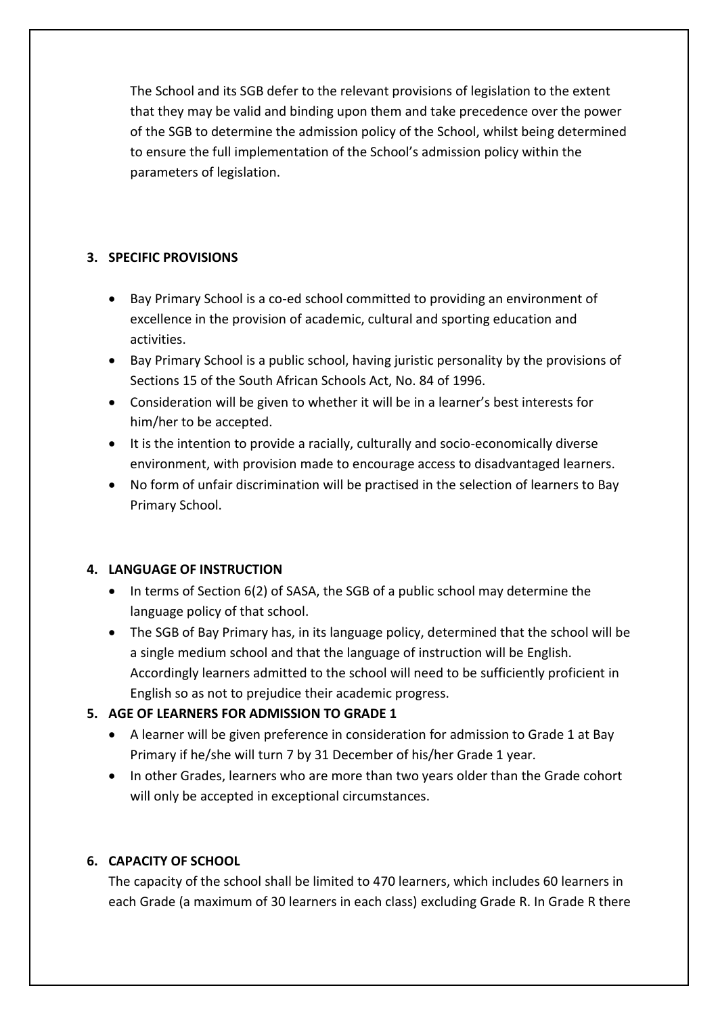The School and its SGB defer to the relevant provisions of legislation to the extent that they may be valid and binding upon them and take precedence over the power of the SGB to determine the admission policy of the School, whilst being determined to ensure the full implementation of the School's admission policy within the parameters of legislation.

#### **3. SPECIFIC PROVISIONS**

- Bay Primary School is a co-ed school committed to providing an environment of excellence in the provision of academic, cultural and sporting education and activities.
- Bay Primary School is a public school, having juristic personality by the provisions of Sections 15 of the South African Schools Act, No. 84 of 1996.
- Consideration will be given to whether it will be in a learner's best interests for him/her to be accepted.
- It is the intention to provide a racially, culturally and socio-economically diverse environment, with provision made to encourage access to disadvantaged learners.
- No form of unfair discrimination will be practised in the selection of learners to Bay Primary School.

### **4. LANGUAGE OF INSTRUCTION**

- In terms of Section 6(2) of SASA, the SGB of a public school may determine the language policy of that school.
- The SGB of Bay Primary has, in its language policy, determined that the school will be a single medium school and that the language of instruction will be English. Accordingly learners admitted to the school will need to be sufficiently proficient in English so as not to prejudice their academic progress.

### **5. AGE OF LEARNERS FOR ADMISSION TO GRADE 1**

- A learner will be given preference in consideration for admission to Grade 1 at Bay Primary if he/she will turn 7 by 31 December of his/her Grade 1 year.
- In other Grades, learners who are more than two years older than the Grade cohort will only be accepted in exceptional circumstances.

### **6. CAPACITY OF SCHOOL**

The capacity of the school shall be limited to 470 learners, which includes 60 learners in each Grade (a maximum of 30 learners in each class) excluding Grade R. In Grade R there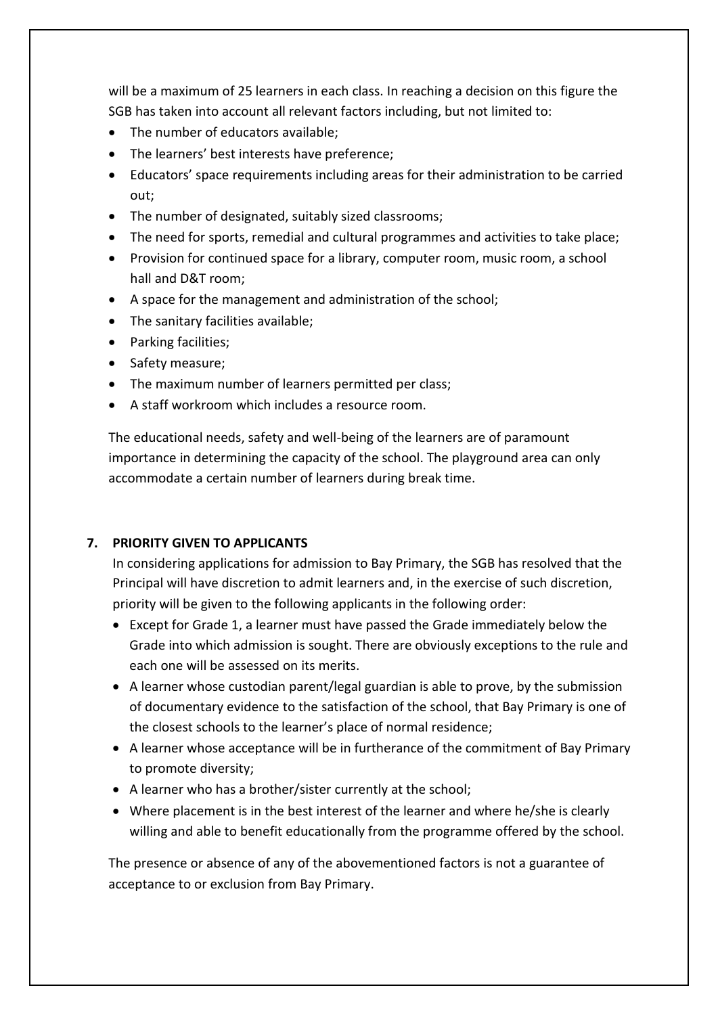will be a maximum of 25 learners in each class. In reaching a decision on this figure the SGB has taken into account all relevant factors including, but not limited to:

- The number of educators available;
- The learners' best interests have preference:
- Educators' space requirements including areas for their administration to be carried out;
- The number of designated, suitably sized classrooms;
- The need for sports, remedial and cultural programmes and activities to take place;
- Provision for continued space for a library, computer room, music room, a school hall and D&T room;
- A space for the management and administration of the school;
- The sanitary facilities available;
- Parking facilities:
- Safety measure;
- The maximum number of learners permitted per class;
- A staff workroom which includes a resource room.

The educational needs, safety and well-being of the learners are of paramount importance in determining the capacity of the school. The playground area can only accommodate a certain number of learners during break time.

### **7. PRIORITY GIVEN TO APPLICANTS**

In considering applications for admission to Bay Primary, the SGB has resolved that the Principal will have discretion to admit learners and, in the exercise of such discretion, priority will be given to the following applicants in the following order:

- Except for Grade 1, a learner must have passed the Grade immediately below the Grade into which admission is sought. There are obviously exceptions to the rule and each one will be assessed on its merits.
- A learner whose custodian parent/legal guardian is able to prove, by the submission of documentary evidence to the satisfaction of the school, that Bay Primary is one of the closest schools to the learner's place of normal residence;
- A learner whose acceptance will be in furtherance of the commitment of Bay Primary to promote diversity;
- A learner who has a brother/sister currently at the school;
- Where placement is in the best interest of the learner and where he/she is clearly willing and able to benefit educationally from the programme offered by the school.

The presence or absence of any of the abovementioned factors is not a guarantee of acceptance to or exclusion from Bay Primary.